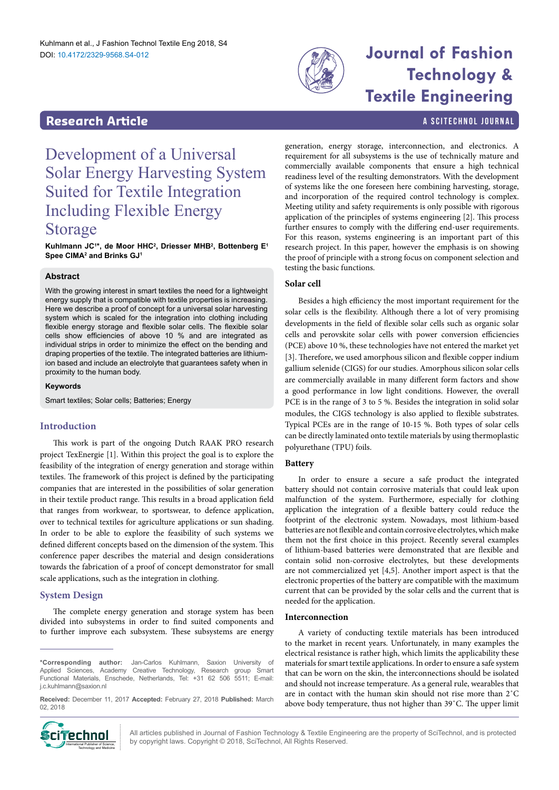

# **Technology & Textile Engineering**

### <span id="page-0-0"></span>**Research Article a Scittering Control in the Scittering Article in the Scittering Article in the Scittering Library and Scittering Library and Scittering Library and Scittering Library and Scittering Library and Scitter**

## Development of a Universal Solar Energy Harvesting System Suited for Textile Integration Including Flexible Energy Storage

**Kuhlmann JC1 \*, de Moor HHC2 , Driesser MHB2 , Bottenberg E1 Spee CIMA2 and Brinks GJ1**

#### **Abstract**

With the growing interest in smart textiles the need for a lightweight energy supply that is compatible with textile properties is increasing. Here we describe a proof of concept for a universal solar harvesting system which is scaled for the integration into clothing including flexible energy storage and flexible solar cells. The flexible solar cells show efficiencies of above 10 % and are integrated as individual strips in order to minimize the effect on the bending and draping properties of the textile. The integrated batteries are lithiumion based and include an electrolyte that guarantees safety when in proximity to the human body.

#### **Keywords**

Smart textiles; Solar cells; Batteries; Energy

#### **Introduction**

This work is part of the ongoing Dutch RAAK PRO research project TexEnergie [1]. Within this project the goal is to explore the feasibility of the integration of energy generation and storage within textiles. The framework of this project is defined by the participating companies that are interested in the possibilities of solar generation in their textile product range. This results in a broad application field that ranges from workwear, to sportswear, to defence application, over to technical textiles for agriculture applications or sun shading. In order to be able to explore the feasibility of such systems we defined different concepts based on the dimension of the system. This conference paper describes the material and design considerations towards the fabrication of a proof of concept demonstrator for small scale applications, such as the integration in clothing.

#### **System Design**

The complete energy generation and storage system has been divided into subsystems in order to find suited components and to further improve each subsystem. These subsystems are energy

**\*Corresponding author:** Jan-Carlos Kuhlmann, Saxion University of Applied Sciences, Academy Creative Technology, Research group Smart Functional Materials, Enschede, Netherlands, Tel: +31 62 506 5511; E-mail: j.c.kuhlmann@saxion.nl

**Received:** December 11, 2017 **Accepted:** February 27, 2018 **Published:** March 02, 2018



All articles published in Journal of Fashion Technology & Textile Engineering are the property of SciTechnol, and is protected **Ciffechnol** All articles published in Journal of Fashion Technology & Textile Engin<br>by copyright laws. Copyright © 2018, SciTechnol, All Rights Reserved.

generation, energy storage, interconnection, and electronics. A requirement for all subsystems is the use of technically mature and commercially available components that ensure a high technical readiness level of the resulting demonstrators. With the development of systems like the one foreseen here combining harvesting, storage, and incorporation of the required control technology is complex. Meeting utility and safety requirements is only possible with rigorous application of the principles of systems engineering [2]. This process further ensures to comply with the differing end-user requirements. For this reason, systems engineering is an important part of this research project. In this paper, however the emphasis is on showing the proof of principle with a strong focus on component selection and testing the basic functions.

#### **Solar cell**

Besides a high efficiency the most important requirement for the solar cells is the flexibility. Although there a lot of very promising developments in the field of flexible solar cells such as organic solar cells and perovskite solar cells with power conversion efficiencies (PCE) above 10 %, these technologies have not entered the market yet [3]. Therefore, we used amorphous silicon and flexible copper indium gallium selenide (CIGS) for our studies. Amorphous silicon solar cells are commercially available in many different form factors and show a good performance in low light conditions. However, the overall PCE is in the range of 3 to 5 %. Besides the integration in solid solar modules, the CIGS technology is also applied to flexible substrates. Typical PCEs are in the range of 10-15 %. Both types of solar cells can be directly laminated onto textile materials by using thermoplastic polyurethane (TPU) foils.

#### **Battery**

In order to ensure a secure a safe product the integrated battery should not contain corrosive materials that could leak upon malfunction of the system. Furthermore, especially for clothing application the integration of a flexible battery could reduce the footprint of the electronic system. Nowadays, most lithium-based batteries are not flexible and contain corrosive electrolytes, which make them not the first choice in this project. Recently several examples of lithium-based batteries were demonstrated that are flexible and contain solid non-corrosive electrolytes, but these developments are not commercialized yet [4,5]. Another import aspect is that the electronic properties of the battery are compatible with the maximum current that can be provided by the solar cells and the current that is needed for the application.

#### **Interconnection**

A variety of conducting textile materials has been introduced to the market in recent years. Unfortunately, in many examples the electrical resistance is rather high, which limits the applicability these materials for smart textile applications. In order to ensure a safe system that can be worn on the skin, the interconnections should be isolated and should not increase temperature. As a general rule, wearables that are in contact with the human skin should not rise more than 2˚C above body temperature, thus not higher than 39˚C. The upper limit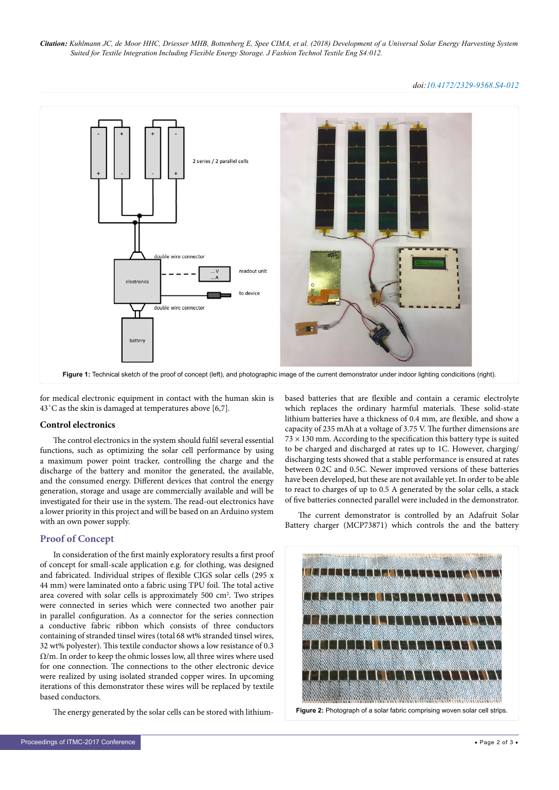*Citation: Kuhlmann JC, de Moor HHC, Driesser MHB, Bottenberg E, Spee CIMA, et al. (2018) Development of a Universal Solar Energy Harvesting System Suited for Textile Integration Including Flexible Energy Storage. J Fashion Technol Textile Eng S4:012.*

*doi:10.4172/2329-9568.S4-012*



for medical electronic equipment in contact with the human skin is 43˚C as the skin is damaged at temperatures above [6,7].

#### **Control electronics**

The control electronics in the system should fulfil several essential functions, such as optimizing the solar cell performance by using a maximum power point tracker, controlling the charge and the discharge of the battery and monitor the generated, the available, and the consumed energy. Different devices that control the energy generation, storage and usage are commercially available and will be investigated for their use in the system. The read-out electronics have a lower priority in this project and will be based on an Arduino system with an own power supply.

#### **Proof of Concept**

In consideration of the first mainly exploratory results a first proof of concept for small-scale application e.g. for clothing, was designed and fabricated. Individual stripes of flexible CIGS solar cells (295 x 44 mm) were laminated onto a fabric using TPU foil. The total active area covered with solar cells is approximately 500 cm<sup>2</sup>. Two stripes were connected in series which were connected two another pair in parallel configuration. As a connector for the series connection a conductive fabric ribbon which consists of three conductors containing of stranded tinsel wires (total 68 wt% stranded tinsel wires, 32 wt% polyester). This textile conductor shows a low resistance of 0.3  $\Omega/m$ . In order to keep the ohmic losses low, all three wires where used for one connection. The connections to the other electronic device were realized by using isolated stranded copper wires. In upcoming iterations of this demonstrator these wires will be replaced by textile based conductors.

The energy generated by the solar cells can be stored with lithium-

based batteries that are flexible and contain a ceramic electrolyte which replaces the ordinary harmful materials. These solid-state lithium batteries have a thickness of 0.4 mm, are flexible, and show a capacity of 235 mAh at a voltage of 3.75 V. The further dimensions are  $73 \times 130$  mm. According to the specification this battery type is suited to be charged and discharged at rates up to 1C. However, charging/ discharging tests showed that a stable performance is ensured at rates between 0.2C and 0.5C. Newer improved versions of these batteries have been developed, but these are not available yet. In order to be able to react to charges of up to 0.5 A generated by the solar cells, a stack of five batteries connected parallel were included in the demonstrator.

The current demonstrator is controlled by an Adafruit Solar Battery charger (MCP73871) which controls the and the battery